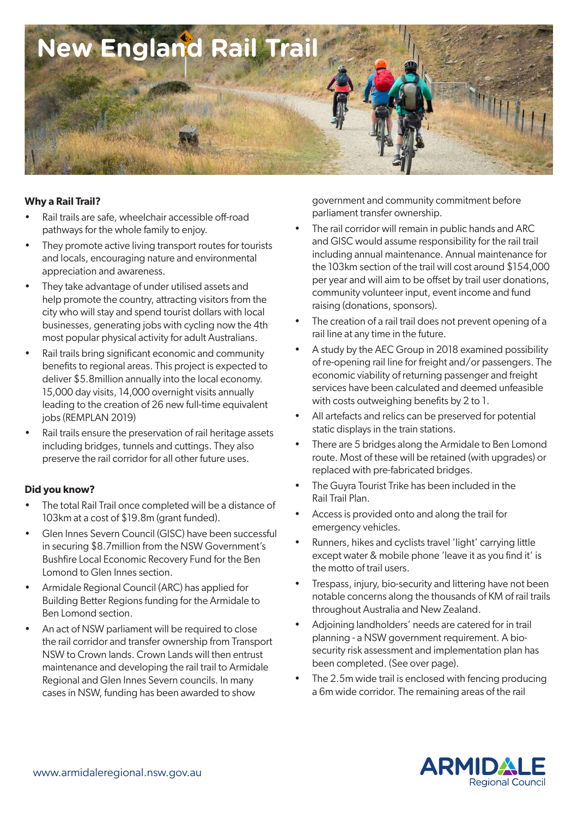

#### **Why a Rail Trail?**

- Rail trails are safe, wheelchair accessible off-road pathways for the whole family to enjoy.
- They promote active living transport routes for tourists and locals, encouraging nature and environmental appreciation and awareness.
- They take advantage of under utilised assets and help promote the country, attracting visitors from the city who will stay and spend tourist dollars with local businesses, generating jobs with cycling now the 4th most popular physical activity for adult Australians.
- Rail trails bring significant economic and community benefits to regional areas. This project is expected to deliver \$5.8million annually into the local economy. 15,000 day visits, 14,000 overnight visits annually leading to the creation of 26 new full-time equivalent jobs (REMPLAN 2019)
- Rail trails ensure the preservation of rail heritage assets including bridges, tunnels and cuttings. They also preserve the rail corridor for all other future uses.

#### **Did you know?**

- The total Rail Trail once completed will be a distance of 103km at a cost of \$19.8m (grant funded).
- Glen Innes Severn Council (GISC) have been successful in securing \$8.7million from the NSW Government's Bushfire Local Economic Recovery Fund for the Ben Lomond to Glen Innes section.
- Armidale Regional Council (ARC) has applied for Building Better Regions funding for the Armidale to Ben Lomond section.
- An act of NSW parliament will be required to close the rail corridor and transfer ownership from Transport NSW to Crown lands. Crown Lands will then entrust maintenance and developing the rail trail to Armidale Regional and Glen Innes Severn councils. In many cases in NSW, funding has been awarded to show

government and community commitment before parliament transfer ownership.

- The rail corridor will remain in public hands and ARC and GISC would assume responsibility for the rail trail including annual maintenance. Annual maintenance for the 103km section of the trail will cost around \$154,000 per year and will aim to be offset by trail user donations, community volunteer input, event income and fund raising (donations, sponsors).
- The creation of a rail trail does not prevent opening of a rail line at any time in the future.
- A study by the AEC Group in 2018 examined possibility of re-opening rail line for freight and/or passengers. The economic viability of returning passenger and freight services have been calculated and deemed unfeasible with costs outweighing benefits by 2 to 1.
- All artefacts and relics can be preserved for potential static displays in the train stations.
- There are 5 bridges along the Armidale to Ben Lomond route. Most of these will be retained (with upgrades) or replaced with pre-fabricated bridges.
- The Guyra Tourist Trike has been included in the Rail Trail Plan.
- Access is provided onto and along the trail for emergency vehicles.
- Runners, hikes and cyclists travel 'light' carrying little except water & mobile phone 'leave it as you find it' is the motto of trail users.
- Trespass, injury, bio-security and littering have not been notable concerns along the thousands of KM of rail trails throughout Australia and New Zealand.
- Adjoining landholders' needs are catered for in trail planning - a NSW government requirement. A biosecurity risk assessment and implementation plan has been completed. (See over page).
- The 2.5m wide trail is enclosed with fencing producing a 6m wide corridor. The remaining areas of the rail